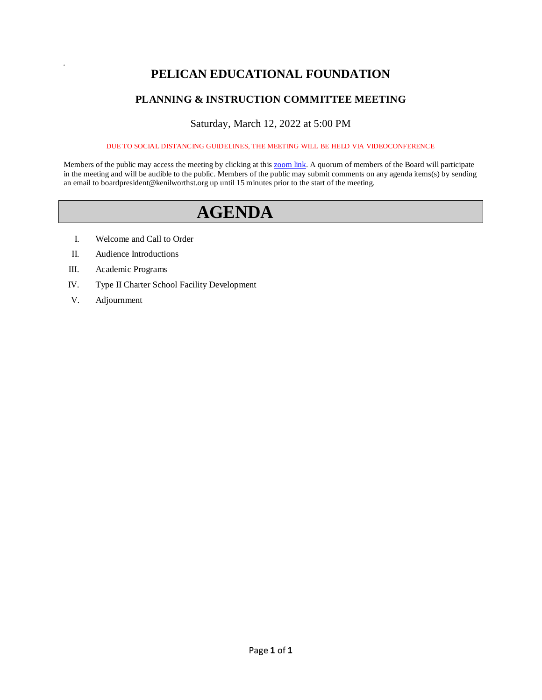## **PELICAN EDUCATIONAL FOUNDATION**

## **PLANNING & INSTRUCTION COMMITTEE MEETING**

### Saturday, March 12, 2022 at 5:00 PM

DUE TO SOCIAL DISTANCING GUIDELINES, THE MEETING WILL BE HELD VIA VIDEOCONFERENCE

Members of the public may access the meeting by clicking at this **zoom link**. A quorum of members of the Board will participate in the meeting and will be audible to the public. Members of the public may submit comments on any agenda items(s) by sending an email to boardpresident@kenilworthst.org up until 15 minutes prior to the start of the meeting.

# **AGENDA**

- I. Welcome and Call to Order
- II. Audience Introductions
- III. Academic Programs
- IV. Type II Charter School Facility Development
- V. Adjournment

a